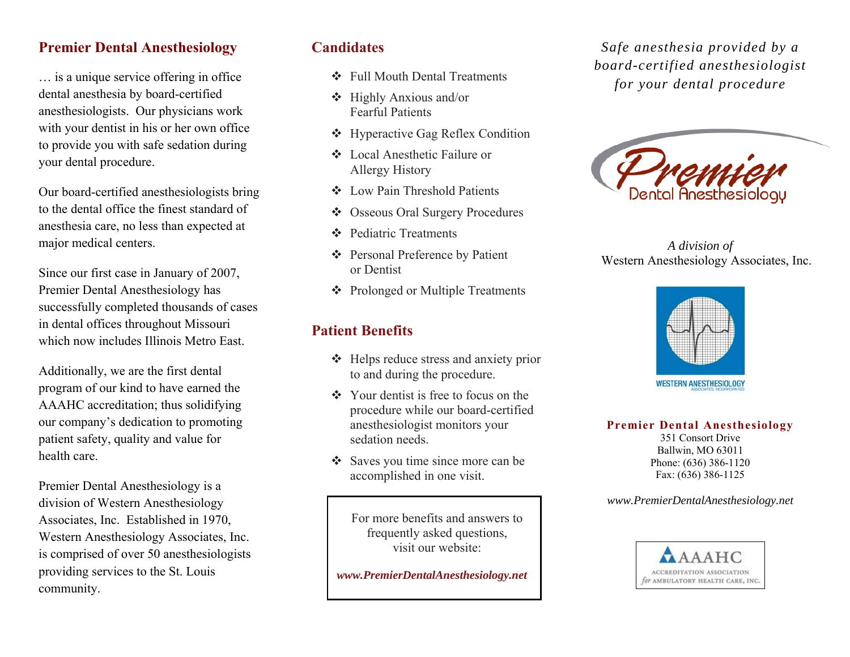### **Premier Dental Anesthesiology**

… is a unique service offering in office dental anesthesia by board-certified anesthesiologists. Our physicians work with your dentist in his or her own office to provide you with safe sedation during your dental procedure.

Our board-certified anesthesiologists bring to the dental office the finest standard of anesthesia care, no less than expected at major medical centers.

Since our first case in January of 2007, Premier Dental Anesthesiology has successfully completed thousands of cases in dental offices throughout Missouri which now includes Illinois Metro East.

Additionally, we are the first dental program of our kind to have earned the AAAHC accreditation; thus solidifying our company's dedication to promoting patient safety, quality and value for health care.

Premier Dental Anesthesiology is a division of Western Anesthesiology Associates, Inc. Established in 1970, Western Anesthesiology Associates, Inc. is comprised of over 50 anesthesiologists providing services to the St. Louis community.

### **Candidates**

- Full Mouth Dental Treatments
- Highly Anxious and/or Fearful Patients
- ❖ Hyperactive Gag Reflex Condition
- Local Anesthetic Failure or Allergy History
- Low Pain Threshold Patients
- $\mathcal{L}_{\mathbf{p}}^{\mathbf{p}}$  . Osseous Oral Surgery Procedures
- ❖ Pediatric Treatments
- Personal Preference by Patient or Dentist
- ❖ Prolonged or Multiple Treatments

# **Patient Benefits**

- ❖ Helps reduce stress and anxiety prior to and during the procedure.
- $\triangleleft$  Your dentist is free to focus on the procedure while our board-certified anesthesiologist monitors your sedation needs.
- Saves you time since more can be accomplished in one visit.

For more benefits and answers to frequently asked questions, visit our website:

 *www.PremierDentalAnesthesiology.net* 

*Safe anesthesia provided by a board-certified anesthesiologist for your dental procedure*



*A division of*  Western Anesthesiology Associates, Inc.



**Premier Dental Anesthesiology** 

351 Consort Drive Ballwin, MO 63011 Phone: (636) 386-1120 Fax: (636) 386-1125

*www.PremierDentalAnesthesiology.net*